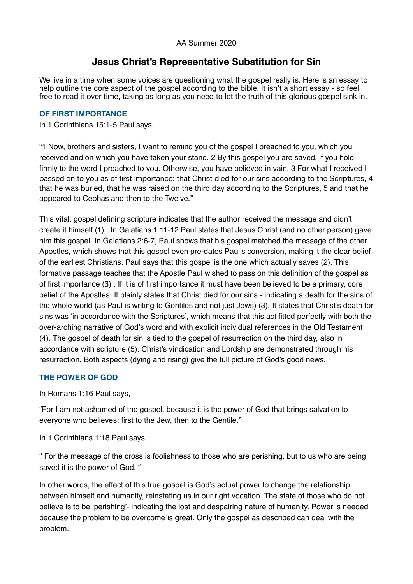#### AA Summer 2020

# **Jesus Christ's Representative Substitution for Sin**

We live in a time when some voices are questioning what the gospel really is. Here is an essay to help outline the core aspect of the gospel according to the bible. It isn't a short essay - so feel free to read it over time, taking as long as you need to let the truth of this glorious gospel sink in.

#### **OF FIRST IMPORTANCE**

In 1 Corinthians 15:1-5 Paul says,

"1 Now, brothers and sisters, I want to remind you of the gospel I preached to you, which you received and on which you have taken your stand. 2 By this gospel you are saved, if you hold firmly to the word I preached to you. Otherwise, you have believed in vain. 3 For what I received I passed on to you as of first importance: that Christ died for our sins according to the Scriptures, 4 that he was buried, that he was raised on the third day according to the Scriptures, 5 and that he appeared to Cephas and then to the Twelve."

This vital, gospel defining scripture indicates that the author received the message and didn't create it himself (1). In Galatians 1:11-12 Paul states that Jesus Christ (and no other person) gave him this gospel. In Galatians 2:6-7, Paul shows that his gospel matched the message of the other Apostles, which shows that this gospel even pre-dates Paul's conversion, making it the clear belief of the earliest Christians. Paul says that this gospel is the one which actually saves (2). This formative passage teaches that the Apostle Paul wished to pass on this definition of the gospel as of first importance (3) . If it is of first importance it must have been believed to be a primary, core belief of the Apostles. It plainly states that Christ died for our sins - indicating a death for the sins of the whole world (as Paul is writing to Gentiles and not just Jews) (3). It states that Christ's death for sins was 'in accordance with the Scriptures', which means that this act fitted perfectly with both the over-arching narrative of God's word and with explicit individual references in the Old Testament (4). The gospel of death for sin is tied to the gospel of resurrection on the third day, also in accordance with scripture (5). Christ's vindication and Lordship are demonstrated through his resurrection. Both aspects (dying and rising) give the full picture of God's good news.

### **THE POWER OF GOD**

In Romans 1:16 Paul says,

"For I am not ashamed of the gospel, because it is the power of God that brings salvation to everyone who believes: first to the Jew, then to the Gentile."

In 1 Corinthians 1:18 Paul says,

" For the message of the cross is foolishness to those who are perishing, but to us who are being saved it is the power of God. "

In other words, the effect of this true gospel is God's actual power to change the relationship between himself and humanity, reinstating us in our right vocation. The state of those who do not believe is to be 'perishing'- indicating the lost and despairing nature of humanity. Power is needed because the problem to be overcome is great. Only the gospel as described can deal with the problem.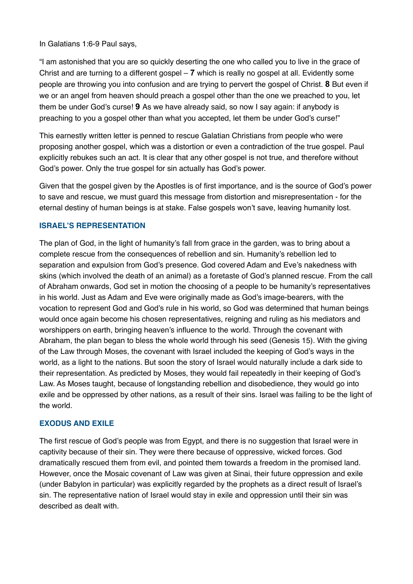In Galatians 1:6-9 Paul says,

"I am astonished that you are so quickly deserting the one who called you to live in the grace of Christ and are turning to a different gospel – **7** which is really no gospel at all. Evidently some people are throwing you into confusion and are trying to pervert the gospel of Christ. **8** But even if we or an angel from heaven should preach a gospel other than the one we preached to you, let them be under God's curse! **9** As we have already said, so now I say again: if anybody is preaching to you a gospel other than what you accepted, let them be under God's curse!"

This earnestly written letter is penned to rescue Galatian Christians from people who were proposing another gospel, which was a distortion or even a contradiction of the true gospel. Paul explicitly rebukes such an act. It is clear that any other gospel is not true, and therefore without God's power. Only the true gospel for sin actually has God's power.

Given that the gospel given by the Apostles is of first importance, and is the source of God's power to save and rescue, we must guard this message from distortion and misrepresentation - for the eternal destiny of human beings is at stake. False gospels won't save, leaving humanity lost.

### **ISRAEL'S REPRESENTATION**

The plan of God, in the light of humanity's fall from grace in the garden, was to bring about a complete rescue from the consequences of rebellion and sin. Humanity's rebellion led to separation and expulsion from God's presence. God covered Adam and Eve's nakedness with skins (which involved the death of an animal) as a foretaste of God's planned rescue. From the call of Abraham onwards, God set in motion the choosing of a people to be humanity's representatives in his world. Just as Adam and Eve were originally made as God's image-bearers, with the vocation to represent God and God's rule in his world, so God was determined that human beings would once again become his chosen representatives, reigning and ruling as his mediators and worshippers on earth, bringing heaven's influence to the world. Through the covenant with Abraham, the plan began to bless the whole world through his seed (Genesis 15). With the giving of the Law through Moses, the covenant with Israel included the keeping of God's ways in the world, as a light to the nations. But soon the story of Israel would naturally include a dark side to their representation. As predicted by Moses, they would fail repeatedly in their keeping of God's Law. As Moses taught, because of longstanding rebellion and disobedience, they would go into exile and be oppressed by other nations, as a result of their sins. Israel was failing to be the light of the world.

# **EXODUS AND EXILE**

The first rescue of God's people was from Egypt, and there is no suggestion that Israel were in captivity because of their sin. They were there because of oppressive, wicked forces. God dramatically rescued them from evil, and pointed them towards a freedom in the promised land. However, once the Mosaic covenant of Law was given at Sinai, their future oppression and exile (under Babylon in particular) was explicitly regarded by the prophets as a direct result of Israel's sin. The representative nation of Israel would stay in exile and oppression until their sin was described as dealt with.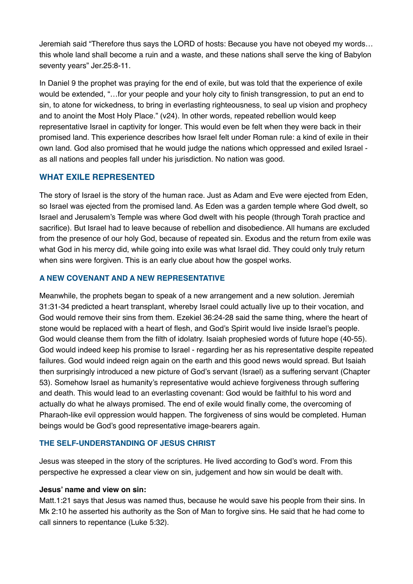Jeremiah said "Therefore thus says the LORD of hosts: Because you have not obeyed my words… this whole land shall become a ruin and a waste, and these nations shall serve the king of Babylon seventy years" Jer.25:8-11.

In Daniel 9 the prophet was praying for the end of exile, but was told that the experience of exile would be extended, "…for your people and your holy city to finish transgression, to put an end to sin, to atone for wickedness, to bring in everlasting righteousness, to seal up vision and prophecy and to anoint the Most Holy Place." (v24). In other words, repeated rebellion would keep representative Israel in captivity for longer. This would even be felt when they were back in their promised land. This experience describes how Israel felt under Roman rule: a kind of exile in their own land. God also promised that he would judge the nations which oppressed and exiled Israel as all nations and peoples fall under his jurisdiction. No nation was good.

### **WHAT EXILE REPRESENTED**

The story of Israel is the story of the human race. Just as Adam and Eve were ejected from Eden, so Israel was ejected from the promised land. As Eden was a garden temple where God dwelt, so Israel and Jerusalem's Temple was where God dwelt with his people (through Torah practice and sacrifice). But Israel had to leave because of rebellion and disobedience. All humans are excluded from the presence of our holy God, because of repeated sin. Exodus and the return from exile was what God in his mercy did, while going into exile was what Israel did. They could only truly return when sins were forgiven. This is an early clue about how the gospel works.

### **A NEW COVENANT AND A NEW REPRESENTATIVE**

Meanwhile, the prophets began to speak of a new arrangement and a new solution. Jeremiah 31:31-34 predicted a heart transplant, whereby Israel could actually live up to their vocation, and God would remove their sins from them. Ezekiel 36:24-28 said the same thing, where the heart of stone would be replaced with a heart of flesh, and God's Spirit would live inside Israel's people. God would cleanse them from the filth of idolatry. Isaiah prophesied words of future hope (40-55). God would indeed keep his promise to Israel - regarding her as his representative despite repeated failures. God would indeed reign again on the earth and this good news would spread. But Isaiah then surprisingly introduced a new picture of God's servant (Israel) as a suffering servant (Chapter 53). Somehow Israel as humanity's representative would achieve forgiveness through suffering and death. This would lead to an everlasting covenant: God would be faithful to his word and actually do what he always promised. The end of exile would finally come, the overcoming of Pharaoh-like evil oppression would happen. The forgiveness of sins would be completed. Human beings would be God's good representative image-bearers again.

### **THE SELF-UNDERSTANDING OF JESUS CHRIST**

Jesus was steeped in the story of the scriptures. He lived according to God's word. From this perspective he expressed a clear view on sin, judgement and how sin would be dealt with.

#### **Jesus' name and view on sin:**

Matt.1:21 says that Jesus was named thus, because he would save his people from their sins. In Mk 2:10 he asserted his authority as the Son of Man to forgive sins. He said that he had come to call sinners to repentance (Luke 5:32).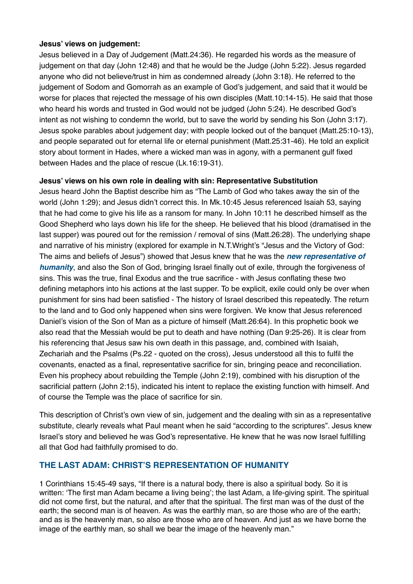#### **Jesus' views on judgement:**

Jesus believed in a Day of Judgement (Matt.24:36). He regarded his words as the measure of judgement on that day (John 12:48) and that he would be the Judge (John 5:22). Jesus regarded anyone who did not believe/trust in him as condemned already (John 3:18). He referred to the judgement of Sodom and Gomorrah as an example of God's judgement, and said that it would be worse for places that rejected the message of his own disciples (Matt.10:14-15). He said that those who heard his words and trusted in God would not be judged (John 5:24). He described God's intent as not wishing to condemn the world, but to save the world by sending his Son (John 3:17). Jesus spoke parables about judgement day; with people locked out of the banquet (Matt.25:10-13), and people separated out for eternal life or eternal punishment (Matt.25:31-46). He told an explicit story about torment in Hades, where a wicked man was in agony, with a permanent gulf fixed between Hades and the place of rescue (Lk.16:19-31).

#### **Jesus' views on his own role in dealing with sin: Representative Substitution**

Jesus heard John the Baptist describe him as "The Lamb of God who takes away the sin of the world (John 1:29); and Jesus didn't correct this. In Mk.10:45 Jesus referenced Isaiah 53, saying that he had come to give his life as a ransom for many. In John 10:11 he described himself as the Good Shepherd who lays down his life for the sheep. He believed that his blood (dramatised in the last supper) was poured out for the remission / removal of sins (Matt.26:28). The underlying shape and narrative of his ministry (explored for example in N.T.Wright's "Jesus and the Victory of God: The aims and beliefs of Jesus") showed that Jesus knew that he was the *new representative of humanity*, and also the Son of God, bringing Israel finally out of exile, through the forgiveness of sins. This was the true, final Exodus and the true sacrifice - with Jesus conflating these two defining metaphors into his actions at the last supper. To be explicit, exile could only be over when punishment for sins had been satisfied - The history of Israel described this repeatedly. The return to the land and to God only happened when sins were forgiven. We know that Jesus referenced Daniel's vision of the Son of Man as a picture of himself (Matt.26:64). In this prophetic book we also read that the Messiah would be put to death and have nothing (Dan 9:25-26). It is clear from his referencing that Jesus saw his own death in this passage, and, combined with Isaiah, Zechariah and the Psalms (Ps.22 - quoted on the cross), Jesus understood all this to fulfil the covenants, enacted as a final, representative sacrifice for sin, bringing peace and reconciliation. Even his prophecy about rebuilding the Temple (John 2:19), combined with his disruption of the sacrificial pattern (John 2:15), indicated his intent to replace the existing function with himself. And of course the Temple was the place of sacrifice for sin.

This description of Christ's own view of sin, judgement and the dealing with sin as a representative substitute, clearly reveals what Paul meant when he said "according to the scriptures". Jesus knew Israel's story and believed he was God's representative. He knew that he was now Israel fulfilling all that God had faithfully promised to do.

# **THE LAST ADAM: CHRIST'S REPRESENTATION OF HUMANITY**

1 Corinthians 15:45-49 says, "If there is a natural body, there is also a spiritual body. So it is written: 'The first man Adam became a living being'; the last Adam, a life-giving spirit. The spiritual did not come first, but the natural, and after that the spiritual. The first man was of the dust of the earth; the second man is of heaven. As was the earthly man, so are those who are of the earth; and as is the heavenly man, so also are those who are of heaven. And just as we have borne the image of the earthly man, so shall we bear the image of the heavenly man."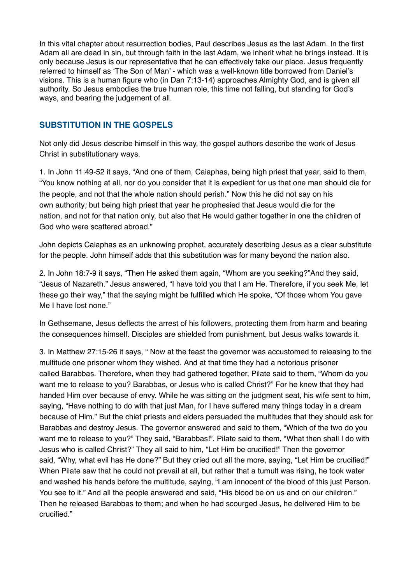In this vital chapter about resurrection bodies, Paul describes Jesus as the last Adam. In the first Adam all are dead in sin, but through faith in the last Adam, we inherit what he brings instead. It is only because Jesus is our representative that he can effectively take our place. Jesus frequently referred to himself as 'The Son of Man' - which was a well-known title borrowed from Daniel's visions. This is a human figure who (in Dan 7:13-14) approaches Almighty God, and is given all authority. So Jesus embodies the true human role, this time not falling, but standing for God's ways, and bearing the judgement of all.

# **SUBSTITUTION IN THE GOSPELS**

Not only did Jesus describe himself in this way, the gospel authors describe the work of Jesus Christ in substitutionary ways.

1. In John 11:49-52 it says, "And one of them, Caiaphas, being high priest that year, said to them, "You know nothing at all, nor do you consider that it is expedient for us that one man should die for the people, and not that the whole nation should perish." Now this he did not say on his own authority*;* but being high priest that year he prophesied that Jesus would die for the nation, and not for that nation only, but also that He would gather together in one the children of God who were scattered abroad."

John depicts Caiaphas as an unknowing prophet, accurately describing Jesus as a clear substitute for the people. John himself adds that this substitution was for many beyond the nation also.

2. In John 18:7-9 it says, "Then He asked them again, "Whom are you seeking?"And they said, "Jesus of Nazareth." Jesus answered, "I have told you that I am He*.* Therefore, if you seek Me, let these go their way," that the saying might be fulfilled which He spoke, "Of those whom You gave Me I have lost none."

In Gethsemane, Jesus deflects the arrest of his followers, protecting them from harm and bearing the consequences himself. Disciples are shielded from punishment, but Jesus walks towards it.

3. In Matthew 27:15-26 it says, " Now at the feast the governor was accustomed to releasing to the multitude one prisoner whom they wished. And at that time they had a notorious prisoner called Barabbas. Therefore, when they had gathered together, Pilate said to them, "Whom do you want me to release to you? Barabbas, or Jesus who is called Christ?" For he knew that they had handed Him over because of envy. While he was sitting on the judgment seat, his wife sent to him, saying, "Have nothing to do with that just Man, for I have suffered many things today in a dream because of Him." But the chief priests and elders persuaded the multitudes that they should ask for Barabbas and destroy Jesus. The governor answered and said to them, "Which of the two do you want me to release to you?" They said, "Barabbas!". Pilate said to them, "What then shall I do with Jesus who is called Christ?" They all said to him, "Let Him be crucified!" Then the governor said, "Why, what evil has He done?" But they cried out all the more, saying, "Let Him be crucified!" When Pilate saw that he could not prevail at all, but rather that a tumult was rising, he took water and washed his hands before the multitude, saying, "I am innocent of the blood of this just Person. You see to it." And all the people answered and said, "His blood be on us and on our children." Then he released Barabbas to them; and when he had scourged Jesus, he delivered Him to be crucified."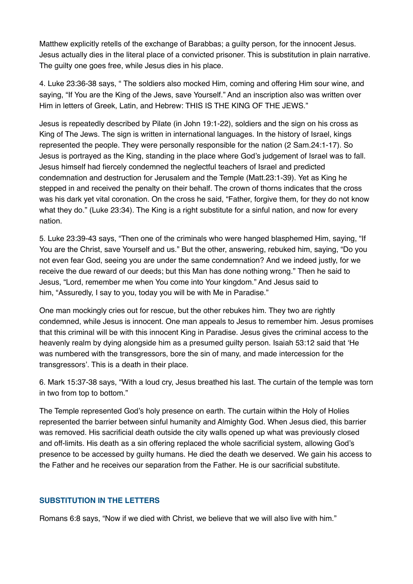Matthew explicitly retells of the exchange of Barabbas; a guilty person, for the innocent Jesus. Jesus actually dies in the literal place of a convicted prisoner. This is substitution in plain narrative. The guilty one goes free, while Jesus dies in his place.

4. Luke 23:36-38 says, " The soldiers also mocked Him, coming and offering Him sour wine, and saying, "If You are the King of the Jews, save Yourself." And an inscription also was written over Him in letters of Greek, Latin, and Hebrew: THIS IS THE KING OF THE JEWS."

Jesus is repeatedly described by Pilate (in John 19:1-22), soldiers and the sign on his cross as King of The Jews. The sign is written in international languages. In the history of Israel, kings represented the people. They were personally responsible for the nation (2 Sam.24:1-17). So Jesus is portrayed as the King, standing in the place where God's judgement of Israel was to fall. Jesus himself had fiercely condemned the neglectful teachers of Israel and predicted condemnation and destruction for Jerusalem and the Temple (Matt.23:1-39). Yet as King he stepped in and received the penalty on their behalf. The crown of thorns indicates that the cross was his dark yet vital coronation. On the cross he said, "Father, forgive them, for they do not know what they do." (Luke 23:34). The King is a right substitute for a sinful nation, and now for every nation.

5. Luke 23:39-43 says, "Then one of the criminals who were hanged blasphemed Him, saying, "If You are the Christ, save Yourself and us." But the other, answering, rebuked him, saying, "Do you not even fear God, seeing you are under the same condemnation? And we indeed justly, for we receive the due reward of our deeds; but this Man has done nothing wrong." Then he said to Jesus, "Lord, remember me when You come into Your kingdom." And Jesus said to him, "Assuredly, I say to you, today you will be with Me in Paradise."

One man mockingly cries out for rescue, but the other rebukes him. They two are rightly condemned, while Jesus is innocent. One man appeals to Jesus to remember him. Jesus promises that this criminal will be with this innocent King in Paradise. Jesus gives the criminal access to the heavenly realm by dying alongside him as a presumed guilty person. Isaiah 53:12 said that 'He was numbered with the transgressors, bore the sin of many, and made intercession for the transgressors'. This is a death in their place.

6. Mark 15:37-38 says, "With a loud cry, Jesus breathed his last. The curtain of the temple was torn in two from top to bottom."

The Temple represented God's holy presence on earth. The curtain within the Holy of Holies represented the barrier between sinful humanity and Almighty God. When Jesus died, this barrier was removed. His sacrificial death outside the city walls opened up what was previously closed and off-limits. His death as a sin offering replaced the whole sacrificial system, allowing God's presence to be accessed by guilty humans. He died the death we deserved. We gain his access to the Father and he receives our separation from the Father. He is our sacrificial substitute.

### **SUBSTITUTION IN THE LETTERS**

Romans 6:8 says, "Now if we died with Christ, we believe that we will also live with him."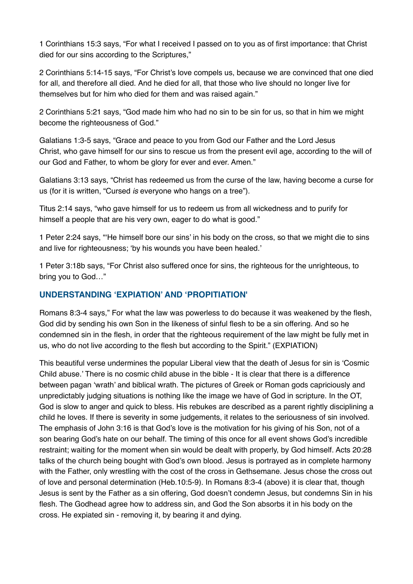1 Corinthians 15:3 says, "For what I received I passed on to you as of first importance: that Christ died for our sins according to the Scriptures,"

2 Corinthians 5:14-15 says, "For Christ's love compels us, because we are convinced that one died for all, and therefore all died. And he died for all, that those who live should no longer live for themselves but for him who died for them and was raised again."

2 Corinthians 5:21 says, "God made him who had no sin to be sin for us, so that in him we might become the righteousness of God."

Galatians 1:3-5 says, "Grace and peace to you from God our Father and the Lord Jesus Christ, who gave himself for our sins to rescue us from the present evil age, according to the will of our God and Father, to whom be glory for ever and ever. Amen."

Galatians 3:13 says, "Christ has redeemed us from the curse of the law, having become a curse for us (for it is written, "Cursed *is* everyone who hangs on a tree").

Titus 2:14 says, "who gave himself for us to redeem us from all wickedness and to purify for himself a people that are his very own, eager to do what is good."

1 Peter 2:24 says, "'He himself bore our sins' in his body on the cross, so that we might die to sins and live for righteousness; 'by his wounds you have been healed.'

1 Peter 3:18b says, "For Christ also suffered once for sins, the righteous for the unrighteous, to bring you to God…"

# **UNDERSTANDING 'EXPIATION' AND 'PROPITIATION'**

Romans 8:3-4 says," For what the law was powerless to do because it was weakened by the flesh, God did by sending his own Son in the likeness of sinful flesh to be a sin offering. And so he condemned sin in the flesh, in order that the righteous requirement of the law might be fully met in us, who do not live according to the flesh but according to the Spirit." (EXPIATION)

This beautiful verse undermines the popular Liberal view that the death of Jesus for sin is 'Cosmic Child abuse.' There is no cosmic child abuse in the bible - It is clear that there is a difference between pagan 'wrath' and biblical wrath. The pictures of Greek or Roman gods capriciously and unpredictably judging situations is nothing like the image we have of God in scripture. In the OT, God is slow to anger and quick to bless. His rebukes are described as a parent rightly disciplining a child he loves. If there is severity in some judgements, it relates to the seriousness of sin involved. The emphasis of John 3:16 is that God's love is the motivation for his giving of his Son, not of a son bearing God's hate on our behalf. The timing of this once for all event shows God's incredible restraint; waiting for the moment when sin would be dealt with properly, by God himself. Acts 20:28 talks of the church being bought with God's own blood. Jesus is portrayed as in complete harmony with the Father, only wrestling with the cost of the cross in Gethsemane. Jesus chose the cross out of love and personal determination (Heb.10:5-9). In Romans 8:3-4 (above) it is clear that, though Jesus is sent by the Father as a sin offering, God doesn't condemn Jesus, but condemns Sin in his flesh. The Godhead agree how to address sin, and God the Son absorbs it in his body on the cross. He expiated sin - removing it, by bearing it and dying.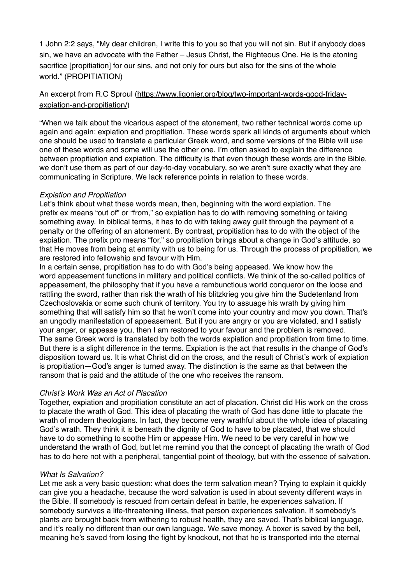1 John 2:2 says, "My dear children, I write this to you so that you will not sin. But if anybody does sin, we have an advocate with the Father – Jesus Christ, the Righteous One. He is the atoning sacrifice [propitiation] for our sins, and not only for ours but also for the sins of the whole world." (PROPITIATION)

### An excerpt from R.C Sproul (https://www.ligonier.org/blog/two-important-words-good-fridayexpiation-and-propitiation/)

"When we talk about the vicarious aspect of the atonement, two rather technical words come up again and again: expiation and propitiation. These words spark all kinds of arguments about which one should be used to translate a particular Greek word, and some versions of the Bible will use one of these words and some will use the other one. I'm often asked to explain the difference between propitiation and expiation. The difficulty is that even though these words are in the Bible, we don't use them as part of our day-to-day vocabulary, so we aren't sure exactly what they are communicating in Scripture. We lack reference points in relation to these words.

#### *Expiation and Propitiation*

Let's think about what these words mean, then, beginning with the word expiation. The prefix ex means "out of" or "from," so expiation has to do with removing something or taking something away. In biblical terms, it has to do with taking away guilt through the payment of a penalty or the offering of an atonement. By contrast, propitiation has to do with the object of the expiation. The prefix pro means "for," so propitiation brings about a change in God's attitude, so that He moves from being at enmity with us to being for us. Through the process of propitiation, we are restored into fellowship and favour with Him.

In a certain sense, propitiation has to do with God's being appeased. We know how the word appeasement functions in military and political conflicts. We think of the so-called politics of appeasement, the philosophy that if you have a rambunctious world conqueror on the loose and rattling the sword, rather than risk the wrath of his blitzkrieg you give him the Sudetenland from Czechoslovakia or some such chunk of territory. You try to assuage his wrath by giving him something that will satisfy him so that he won't come into your country and mow you down. That's an ungodly manifestation of appeasement. But if you are angry or you are violated, and I satisfy your anger, or appease you, then I am restored to your favour and the problem is removed. The same Greek word is translated by both the words expiation and propitiation from time to time. But there is a slight difference in the terms. Expiation is the act that results in the change of God's disposition toward us. It is what Christ did on the cross, and the result of Christ's work of expiation is propitiation—God's anger is turned away. The distinction is the same as that between the ransom that is paid and the attitude of the one who receives the ransom.

### *Christ's Work Was an Act of Placation*

Together, expiation and propitiation constitute an act of placation. Christ did His work on the cross to placate the wrath of God. This idea of placating the wrath of God has done little to placate the wrath of modern theologians. In fact, they become very wrathful about the whole idea of placating God's wrath. They think it is beneath the dignity of God to have to be placated, that we should have to do something to soothe Him or appease Him. We need to be very careful in how we understand the wrath of God, but let me remind you that the concept of placating the wrath of God has to do here not with a peripheral, tangential point of theology, but with the essence of salvation.

### *What Is Salvation?*

Let me ask a very basic question: what does the term salvation mean? Trying to explain it quickly can give you a headache, because the word salvation is used in about seventy different ways in the Bible. If somebody is rescued from certain defeat in battle, he experiences salvation. If somebody survives a life-threatening illness, that person experiences salvation. If somebody's plants are brought back from withering to robust health, they are saved. That's biblical language, and it's really no different than our own language. We save money. A boxer is saved by the bell, meaning he's saved from losing the fight by knockout, not that he is transported into the eternal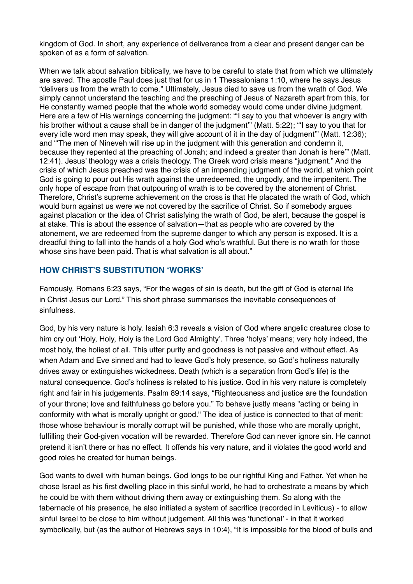kingdom of God. In short, any experience of deliverance from a clear and present danger can be spoken of as a form of salvation.

When we talk about salvation biblically, we have to be careful to state that from which we ultimately are saved. The apostle Paul does just that for us in 1 Thessalonians 1:10, where he says Jesus "delivers us from the wrath to come." Ultimately, Jesus died to save us from the wrath of God. We simply cannot understand the teaching and the preaching of Jesus of Nazareth apart from this, for He constantly warned people that the whole world someday would come under divine judgment. Here are a few of His warnings concerning the judgment: "'I say to you that whoever is angry with his brother without a cause shall be in danger of the judgment'" (Matt. 5:22); "'I say to you that for every idle word men may speak, they will give account of it in the day of judgment" (Matt. 12:36); and "'The men of Nineveh will rise up in the judgment with this generation and condemn it, because they repented at the preaching of Jonah; and indeed a greater than Jonah is here'" (Matt. 12:41). Jesus' theology was a crisis theology. The Greek word crisis means "judgment." And the crisis of which Jesus preached was the crisis of an impending judgment of the world, at which point God is going to pour out His wrath against the unredeemed, the ungodly, and the impenitent. The only hope of escape from that outpouring of wrath is to be covered by the atonement of Christ. Therefore, Christ's supreme achievement on the cross is that He placated the wrath of God, which would burn against us were we not covered by the sacrifice of Christ. So if somebody argues against placation or the idea of Christ satisfying the wrath of God, be alert, because the gospel is at stake. This is about the essence of salvation—that as people who are covered by the atonement, we are redeemed from the supreme danger to which any person is exposed. It is a dreadful thing to fall into the hands of a holy God who's wrathful. But there is no wrath for those whose sins have been paid. That is what salvation is all about."

### **HOW CHRIST'S SUBSTITUTION 'WORKS'**

Famously, Romans 6:23 says, "For the wages of sin is death, but the gift of God is eternal life in Christ Jesus our Lord." This short phrase summarises the inevitable consequences of sinfulness.

God, by his very nature is holy. Isaiah 6:3 reveals a vision of God where angelic creatures close to him cry out 'Holy, Holy, Holy is the Lord God Almighty'. Three 'holys' means; very holy indeed, the most holy, the holiest of all. This utter purity and goodness is not passive and without effect. As when Adam and Eve sinned and had to leave God's holy presence, so God's holiness naturally drives away or extinguishes wickedness. Death (which is a separation from God's life) is the natural consequence. God's holiness is related to his justice. God in his very nature is completely right and fair in his judgements. Psalm 89:14 says, "Righteousness and justice are the foundation of your throne; love and faithfulness go before you." To behave justly means "acting or being in conformity with what is morally upright or good." The idea of justice is connected to that of merit: those whose behaviour is morally corrupt will be punished, while those who are morally upright, fulfilling their God-given vocation will be rewarded. Therefore God can never ignore sin. He cannot pretend it isn't there or has no effect. It offends his very nature, and it violates the good world and good roles he created for human beings.

God wants to dwell with human beings. God longs to be our rightful King and Father. Yet when he chose Israel as his first dwelling place in this sinful world, he had to orchestrate a means by which he could be with them without driving them away or extinguishing them. So along with the tabernacle of his presence, he also initiated a system of sacrifice (recorded in Leviticus) - to allow sinful Israel to be close to him without judgement. All this was 'functional' - in that it worked symbolically, but (as the author of Hebrews says in 10:4), "It is impossible for the blood of bulls and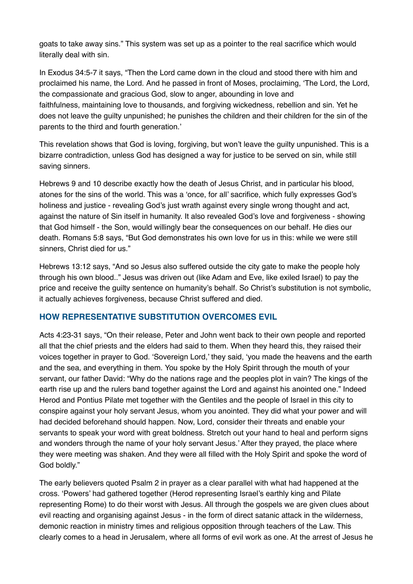goats to take away sins." This system was set up as a pointer to the real sacrifice which would literally deal with sin.

In Exodus 34:5-7 it says, "Then the Lord came down in the cloud and stood there with him and proclaimed his name, the Lord. And he passed in front of Moses, proclaiming, 'The Lord, the Lord, the compassionate and gracious God, slow to anger, abounding in love and faithfulness, maintaining love to thousands, and forgiving wickedness, rebellion and sin. Yet he does not leave the guilty unpunished; he punishes the children and their children for the sin of the parents to the third and fourth generation.'

This revelation shows that God is loving, forgiving, but won't leave the guilty unpunished. This is a bizarre contradiction, unless God has designed a way for justice to be served on sin, while still saving sinners.

Hebrews 9 and 10 describe exactly how the death of Jesus Christ, and in particular his blood, atones for the sins of the world. This was a 'once, for all' sacrifice, which fully expresses God's holiness and justice - revealing God's just wrath against every single wrong thought and act, against the nature of Sin itself in humanity. It also revealed God's love and forgiveness - showing that God himself - the Son, would willingly bear the consequences on our behalf. He dies our death. Romans 5:8 says, "But God demonstrates his own love for us in this: while we were still sinners, Christ died for us."

Hebrews 13:12 says, "And so Jesus also suffered outside the city gate to make the people holy through his own blood.." Jesus was driven out (like Adam and Eve, like exiled Israel) to pay the price and receive the guilty sentence on humanity's behalf. So Christ's substitution is not symbolic, it actually achieves forgiveness, because Christ suffered and died.

# **HOW REPRESENTATIVE SUBSTITUTION OVERCOMES EVIL**

Acts 4:23-31 says, "On their release, Peter and John went back to their own people and reported all that the chief priests and the elders had said to them. When they heard this, they raised their voices together in prayer to God. 'Sovereign Lord,' they said, 'you made the heavens and the earth and the sea, and everything in them. You spoke by the Holy Spirit through the mouth of your servant, our father David: "Why do the nations rage and the peoples plot in vain? The kings of the earth rise up and the rulers band together against the Lord and against his anointed one." Indeed Herod and Pontius Pilate met together with the Gentiles and the people of Israel in this city to conspire against your holy servant Jesus, whom you anointed. They did what your power and will had decided beforehand should happen. Now, Lord, consider their threats and enable your servants to speak your word with great boldness. Stretch out your hand to heal and perform signs and wonders through the name of your holy servant Jesus.' After they prayed, the place where they were meeting was shaken. And they were all filled with the Holy Spirit and spoke the word of God boldly."

The early believers quoted Psalm 2 in prayer as a clear parallel with what had happened at the cross. 'Powers' had gathered together (Herod representing Israel's earthly king and Pilate representing Rome) to do their worst with Jesus. All through the gospels we are given clues about evil reacting and organising against Jesus - in the form of direct satanic attack in the wilderness, demonic reaction in ministry times and religious opposition through teachers of the Law. This clearly comes to a head in Jerusalem, where all forms of evil work as one. At the arrest of Jesus he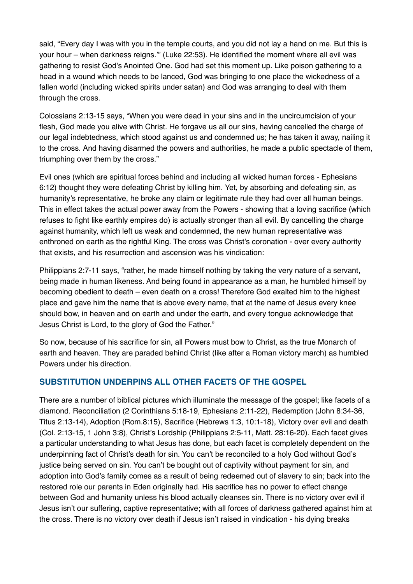said, "Every day I was with you in the temple courts, and you did not lay a hand on me. But this is your hour – when darkness reigns.'" (Luke 22:53). He identified the moment where all evil was gathering to resist God's Anointed One. God had set this moment up. Like poison gathering to a head in a wound which needs to be lanced, God was bringing to one place the wickedness of a fallen world (including wicked spirits under satan) and God was arranging to deal with them through the cross.

Colossians 2:13-15 says, "When you were dead in your sins and in the uncircumcision of your flesh, God made you alive with Christ. He forgave us all our sins, having cancelled the charge of our legal indebtedness, which stood against us and condemned us; he has taken it away, nailing it to the cross. And having disarmed the powers and authorities, he made a public spectacle of them, triumphing over them by the cross."

Evil ones (which are spiritual forces behind and including all wicked human forces - Ephesians 6:12) thought they were defeating Christ by killing him. Yet, by absorbing and defeating sin, as humanity's representative, he broke any claim or legitimate rule they had over all human beings. This in effect takes the actual power away from the Powers - showing that a loving sacrifice (which refuses to fight like earthly empires do) is actually stronger than all evil. By cancelling the charge against humanity, which left us weak and condemned, the new human representative was enthroned on earth as the rightful King. The cross was Christ's coronation - over every authority that exists, and his resurrection and ascension was his vindication:

Philippians 2:7-11 says, "rather, he made himself nothing by taking the very nature of a servant, being made in human likeness. And being found in appearance as a man, he humbled himself by becoming obedient to death – even death on a cross! Therefore God exalted him to the highest place and gave him the name that is above every name, that at the name of Jesus every knee should bow, in heaven and on earth and under the earth, and every tongue acknowledge that Jesus Christ is Lord, to the glory of God the Father."

So now, because of his sacrifice for sin, all Powers must bow to Christ, as the true Monarch of earth and heaven. They are paraded behind Christ (like after a Roman victory march) as humbled Powers under his direction.

# **SUBSTITUTION UNDERPINS ALL OTHER FACETS OF THE GOSPEL**

There are a number of biblical pictures which illuminate the message of the gospel; like facets of a diamond. Reconciliation (2 Corinthians 5:18-19, Ephesians 2:11-22), Redemption (John 8:34-36, Titus 2:13-14), Adoption (Rom.8:15), Sacrifice (Hebrews 1:3, 10:1-18), Victory over evil and death (Col. 2:13-15, 1 John 3:8), Christ's Lordship (Philippians 2:5-11, Matt. 28:16-20). Each facet gives a particular understanding to what Jesus has done, but each facet is completely dependent on the underpinning fact of Christ's death for sin. You can't be reconciled to a holy God without God's justice being served on sin. You can't be bought out of captivity without payment for sin, and adoption into God's family comes as a result of being redeemed out of slavery to sin; back into the restored role our parents in Eden originally had. His sacrifice has no power to effect change between God and humanity unless his blood actually cleanses sin. There is no victory over evil if Jesus isn't our suffering, captive representative; with all forces of darkness gathered against him at the cross. There is no victory over death if Jesus isn't raised in vindication - his dying breaks